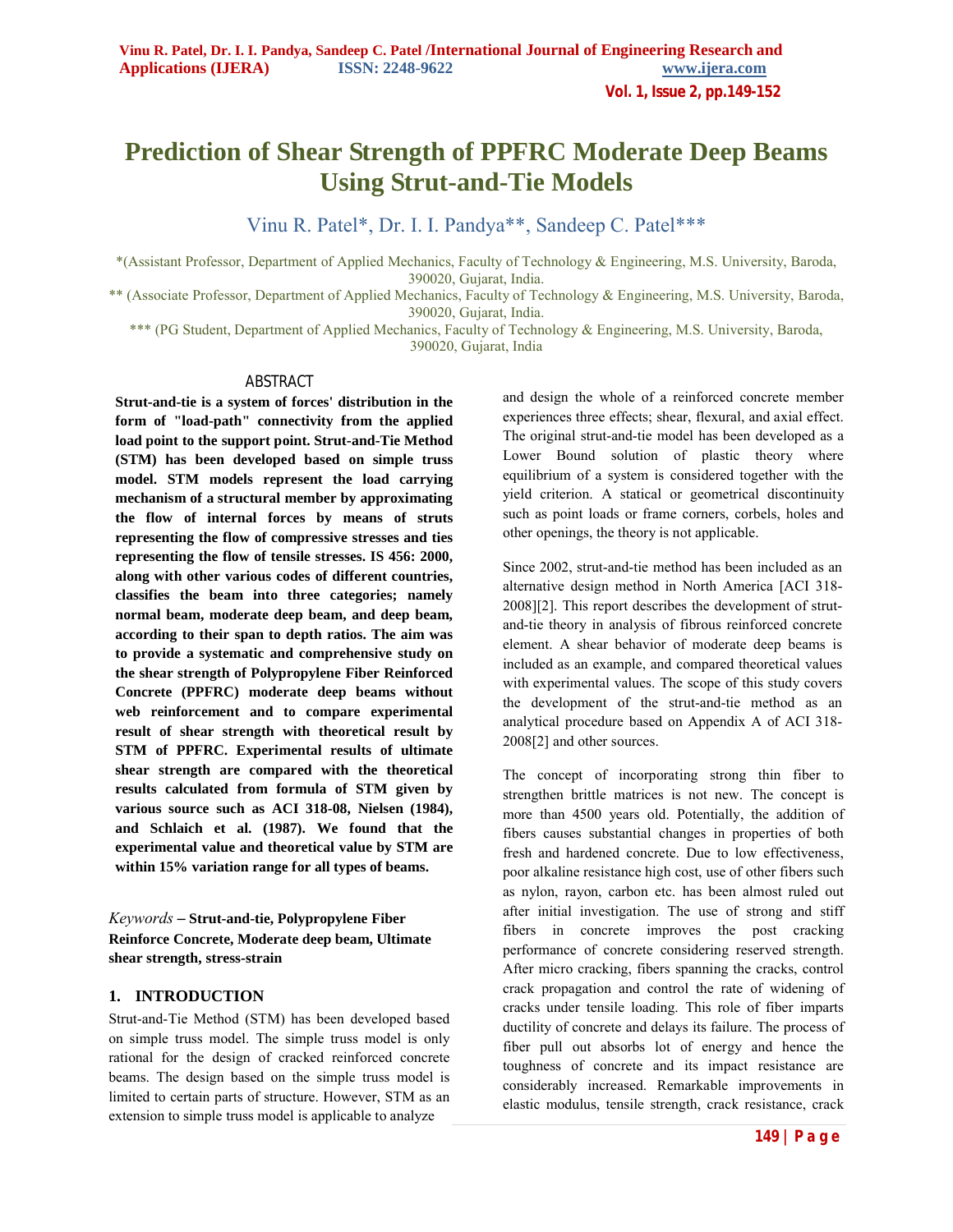**Vol. 1, Issue 2, pp.149-152**

# **Prediction of Shear Strength of PPFRC Moderate Deep Beams Using Strut-and-Tie Models**

Vinu R. Patel\*, Dr. I. I. Pandya\*\*, Sandeep C. Patel\*\*\*

\*(Assistant Professor, Department of Applied Mechanics, Faculty of Technology & Engineering, M.S. University, Baroda, 390020, Gujarat, India.

\*\* (Associate Professor, Department of Applied Mechanics, Faculty of Technology & Engineering, M.S. University, Baroda, 390020, Gujarat, India.

\*\*\* (PG Student, Department of Applied Mechanics, Faculty of Technology & Engineering, M.S. University, Baroda,

390020, Gujarat, India

## ABSTRACT

**Strut-and-tie is a system of forces' distribution in the form of "load-path" connectivity from the applied load point to the support point. Strut-and-Tie Method (STM) has been developed based on simple truss model. STM models represent the load carrying mechanism of a structural member by approximating the flow of internal forces by means of struts representing the flow of compressive stresses and ties representing the flow of tensile stresses. IS 456: 2000, along with other various codes of different countries, classifies the beam into three categories; namely normal beam, moderate deep beam, and deep beam, according to their span to depth ratios. The aim was to provide a systematic and comprehensive study on the shear strength of Polypropylene Fiber Reinforced Concrete (PPFRC) moderate deep beams without web reinforcement and to compare experimental result of shear strength with theoretical result by STM of PPFRC. Experimental results of ultimate shear strength are compared with the theoretical results calculated from formula of STM given by various source such as ACI 318-08, Nielsen (1984), and Schlaich et al. (1987). We found that the experimental value and theoretical value by STM are within 15% variation range for all types of beams.**

# *Keywords* **– Strut-and-tie, Polypropylene Fiber Reinforce Concrete, Moderate deep beam, Ultimate shear strength, stress-strain**

## **1. INTRODUCTION**

Strut-and-Tie Method (STM) has been developed based on simple truss model. The simple truss model is only rational for the design of cracked reinforced concrete beams. The design based on the simple truss model is limited to certain parts of structure. However, STM as an extension to simple truss model is applicable to analyze

and design the whole of a reinforced concrete member experiences three effects; shear, flexural, and axial effect. The original strut-and-tie model has been developed as a Lower Bound solution of plastic theory where equilibrium of a system is considered together with the yield criterion. A statical or geometrical discontinuity such as point loads or frame corners, corbels, holes and other openings, the theory is not applicable.

Since 2002, strut-and-tie method has been included as an alternative design method in North America [ACI 318- 2008][2]. This report describes the development of strutand-tie theory in analysis of fibrous reinforced concrete element. A shear behavior of moderate deep beams is included as an example, and compared theoretical values with experimental values. The scope of this study covers the development of the strut-and-tie method as an analytical procedure based on Appendix A of ACI 318- 2008[2] and other sources.

The concept of incorporating strong thin fiber to strengthen brittle matrices is not new. The concept is more than 4500 years old. Potentially, the addition of fibers causes substantial changes in properties of both fresh and hardened concrete. Due to low effectiveness, poor alkaline resistance high cost, use of other fibers such as nylon, rayon, carbon etc. has been almost ruled out after initial investigation. The use of strong and stiff fibers in concrete improves the post cracking performance of concrete considering reserved strength. After micro cracking, fibers spanning the cracks, control crack propagation and control the rate of widening of cracks under tensile loading. This role of fiber imparts ductility of concrete and delays its failure. The process of fiber pull out absorbs lot of energy and hence the toughness of concrete and its impact resistance are considerably increased. Remarkable improvements in elastic modulus, tensile strength, crack resistance, crack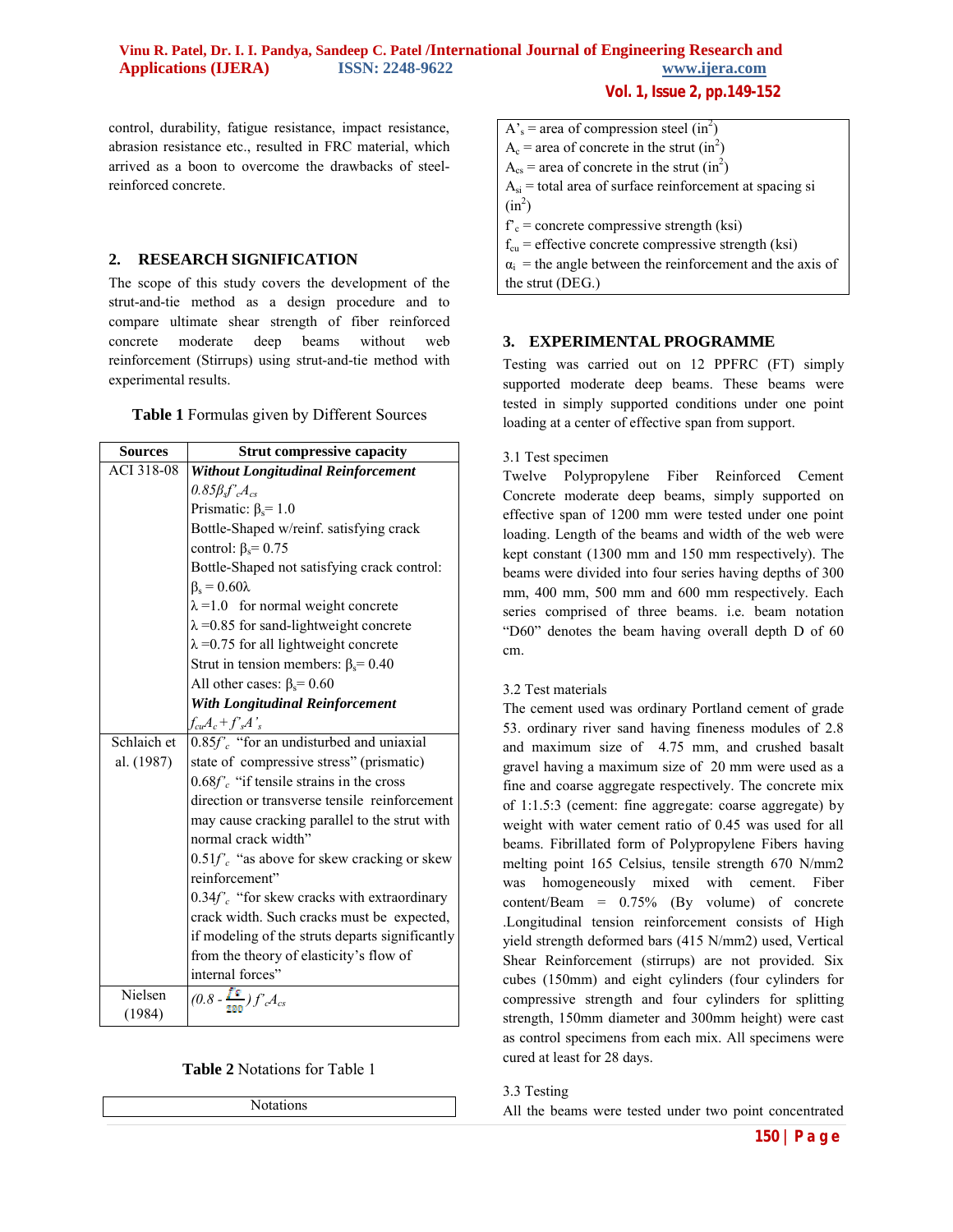control, durability, fatigue resistance, impact resistance, abrasion resistance etc., resulted in FRC material, which arrived as a boon to overcome the drawbacks of steelreinforced concrete.

## **2. RESEARCH SIGNIFICATION**

The scope of this study covers the development of the strut-and-tie method as a design procedure and to compare ultimate shear strength of fiber reinforced concrete moderate deep beams without web reinforcement (Stirrups) using strut-and-tie method with experimental results.

**Table 1** Formulas given by Different Sources

| <b>Sources</b> | <b>Strut compressive capacity</b>                |  |  |
|----------------|--------------------------------------------------|--|--|
| ACI 318-08     | <b>Without Longitudinal Reinforcement</b>        |  |  |
|                | $0.85\beta_s f'_{c}A_{cs}$                       |  |  |
|                | Prismatic: $\beta_s = 1.0$                       |  |  |
|                | Bottle-Shaped w/reinf. satisfying crack          |  |  |
|                | control: $\beta_s$ = 0.75                        |  |  |
|                | Bottle-Shaped not satisfying crack control:      |  |  |
|                | $\beta_s = 0.60\lambda$                          |  |  |
|                | $\lambda = 1.0$ for normal weight concrete       |  |  |
|                | $\lambda$ =0.85 for sand-lightweight concrete    |  |  |
|                | $\lambda$ =0.75 for all lightweight concrete     |  |  |
|                | Strut in tension members: $\beta_s$ = 0.40       |  |  |
|                | All other cases: $\beta_s = 0.60$                |  |  |
|                | <b>With Longitudinal Reinforcement</b>           |  |  |
|                | $f_{cu}A_c+f^{\prime}A^{\prime}$                 |  |  |
| Schlaich et    | $0.85f'_{c}$ "for an undisturbed and uniaxial    |  |  |
| al. (1987)     | state of compressive stress" (prismatic)         |  |  |
|                | $0.68f'_{c}$ "if tensile strains in the cross    |  |  |
|                | direction or transverse tensile reinforcement    |  |  |
|                | may cause cracking parallel to the strut with    |  |  |
|                | normal crack width"                              |  |  |
|                | $0.51f'_{c}$ "as above for skew cracking or skew |  |  |
|                | reinforcement"                                   |  |  |
|                | $0.34f'_{c}$ "for skew cracks with extraordinary |  |  |
|                | crack width. Such cracks must be expected,       |  |  |
|                | if modeling of the struts departs significantly  |  |  |
|                | from the theory of elasticity's flow of          |  |  |
|                | internal forces"                                 |  |  |
| Nielsen        | $\overline{(0.8-\frac{f^2}{\pi m})f^2}A_{cs}$    |  |  |
| (1984)         |                                                  |  |  |

## **Table 2** Notations for Table 1

Notations

**Vol. 1, Issue 2, pp.149-152**

- $A_s$  = area of compression steel (in<sup>2</sup>)  $A_c$  = area of concrete in the strut (in<sup>2</sup>)  $A_{cs}$  = area of concrete in the strut (in<sup>2</sup>)  $A_{si}$  = total area of surface reinforcement at spacing si  $(in^2)$  $f_c$  = concrete compressive strength (ksi)  $f_{\rm cu}$  = effective concrete compressive strength (ksi)  $\alpha_i$  = the angle between the reinforcement and the axis of
- the strut (DEG.)

## **3. EXPERIMENTAL PROGRAMME**

Testing was carried out on 12 PPFRC (FT) simply supported moderate deep beams. These beams were tested in simply supported conditions under one point loading at a center of effective span from support.

## 3.1 Test specimen

Twelve Polypropylene Fiber Reinforced Cement Concrete moderate deep beams, simply supported on effective span of 1200 mm were tested under one point loading. Length of the beams and width of the web were kept constant (1300 mm and 150 mm respectively). The beams were divided into four series having depths of 300 mm, 400 mm, 500 mm and 600 mm respectively. Each series comprised of three beams. i.e. beam notation "D60" denotes the beam having overall depth D of 60 cm.

## 3.2 Test materials

The cement used was ordinary Portland cement of grade 53. ordinary river sand having fineness modules of 2.8 and maximum size of 4.75 mm, and crushed basalt gravel having a maximum size of 20 mm were used as a fine and coarse aggregate respectively. The concrete mix of 1:1.5:3 (cement: fine aggregate: coarse aggregate) by weight with water cement ratio of 0.45 was used for all beams. Fibrillated form of Polypropylene Fibers having melting point 165 Celsius, tensile strength 670 N/mm2 was homogeneously mixed with cement. Fiber content/Beam = 0.75% (By volume) of concrete .Longitudinal tension reinforcement consists of High yield strength deformed bars (415 N/mm2) used, Vertical Shear Reinforcement (stirrups) are not provided. Six cubes (150mm) and eight cylinders (four cylinders for compressive strength and four cylinders for splitting strength, 150mm diameter and 300mm height) were cast as control specimens from each mix. All specimens were cured at least for 28 days.

## 3.3 Testing

All the beams were tested under two point concentrated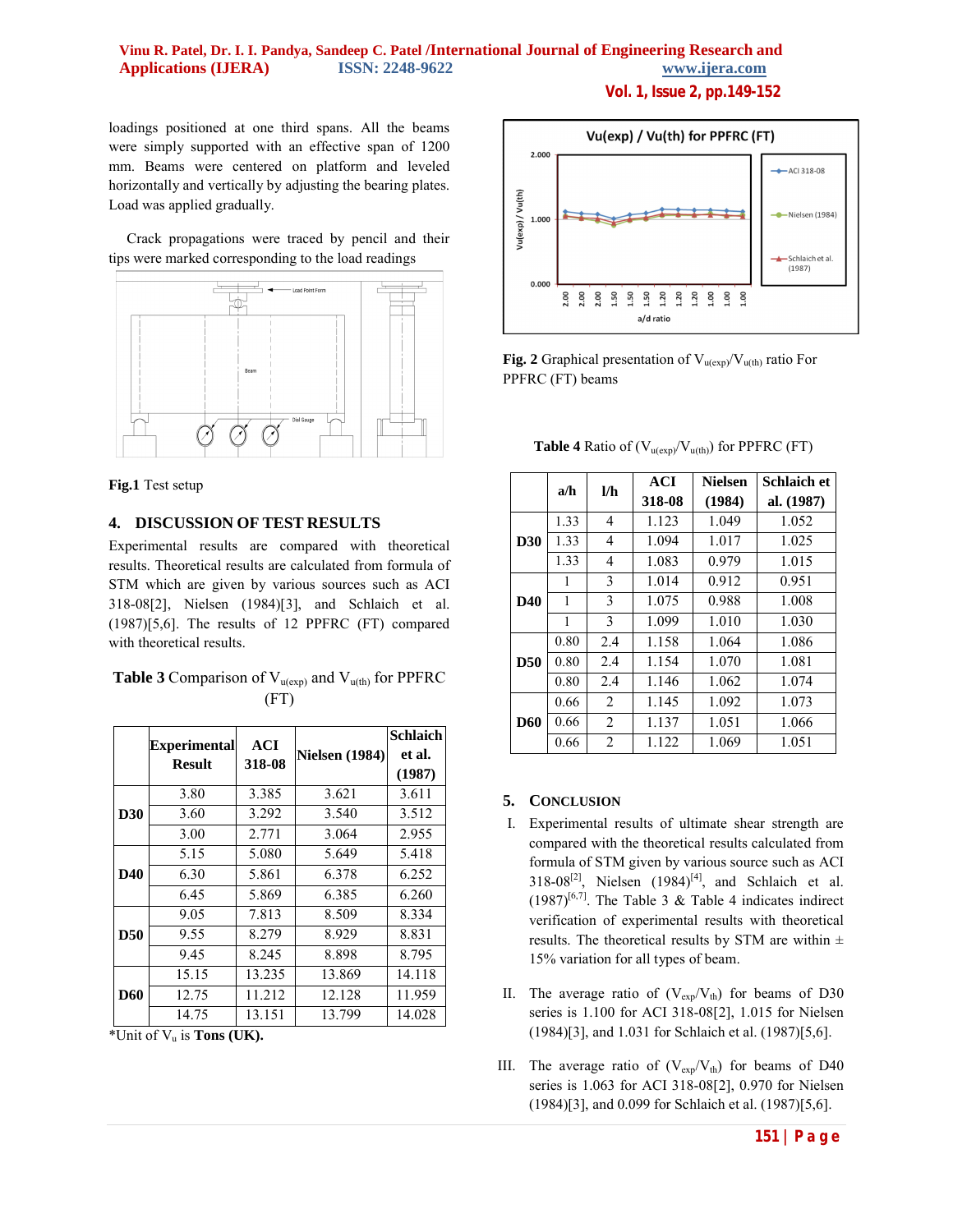# **Vinu R. Patel, Dr. I. I. Pandya, Sandeep C. Patel /International Journal of Engineering Research and Applications (IJERA) ISSN: 2248-9622 www.ijera.com**

**Vol. 1, Issue 2, pp.149-152**

loadings positioned at one third spans. All the beams were simply supported with an effective span of 1200 mm. Beams were centered on platform and leveled horizontally and vertically by adjusting the bearing plates. Load was applied gradually.

 Crack propagations were traced by pencil and their tips were marked corresponding to the load readings



#### **Fig.1** Test setup

## **4. DISCUSSION OF TEST RESULTS**

Experimental results are compared with theoretical results. Theoretical results are calculated from formula of STM which are given by various sources such as ACI 318-08[2], Nielsen (1984)[3], and Schlaich et al. (1987)[5,6]. The results of 12 PPFRC (FT) compared with theoretical results.

| <b>Table 3</b> Comparison of $V_{u(exp)}$ and $V_{u(th)}$ for PPFRC |      |  |
|---------------------------------------------------------------------|------|--|
|                                                                     | (FT) |  |

|            | <b>Experimental</b><br><b>Result</b> | <b>ACI</b><br>318-08 | <b>Nielsen</b> (1984) | <b>Schlaich</b><br>et al. |
|------------|--------------------------------------|----------------------|-----------------------|---------------------------|
|            |                                      |                      |                       | (1987)                    |
| <b>D30</b> | 3.80                                 | 3.385                | 3.621                 | 3.611                     |
|            | 3.60                                 | 3.292                | 3.540                 | 3.512                     |
|            | 3.00                                 | 2.771                | 3.064                 | 2.955                     |
| D40        | 5.15                                 | 5.080                | 5.649                 | 5.418                     |
|            | 6.30                                 | 5.861                | 6.378                 | 6.252                     |
|            | 6.45                                 | 5.869                | 6.385                 | 6.260                     |
|            | 9.05                                 | 7.813                | 8.509                 | 8.334                     |
| <b>D50</b> | 9.55                                 | 8.279                | 8.929                 | 8.831                     |
|            | 9.45                                 | 8.245                | 8.898                 | 8.795                     |
| <b>D60</b> | 15.15                                | 13.235               | 13.869                | 14.118                    |
|            | 12.75                                | 11.212               | 12.128                | 11.959                    |
|            | 14.75                                | 13.151               | 13.799                | 14.028                    |

\*Unit of Vu is **Tons (UK).**



**Fig. 2** Graphical presentation of  $V_{u(exp)} / V_{u(th)}$  ratio For PPFRC (FT) beams

**Table 4** Ratio of  $(V_{u(\text{exp})}/V_{u(\text{th})})$  for PPFRC (FT)

|            | a/h  | l/h            | <b>ACI</b> | <b>Nielsen</b> | Schlaich et |
|------------|------|----------------|------------|----------------|-------------|
|            |      |                | 318-08     | (1984)         | al. (1987)  |
| D30        | 1.33 | 4              | 1.123      | 1.049          | 1.052       |
|            | 1.33 | 4              | 1.094      | 1.017          | 1.025       |
|            | 1.33 | 4              | 1.083      | 0.979          | 1.015       |
| D40        | 1    | 3              | 1.014      | 0.912          | 0.951       |
|            | 1    | 3              | 1.075      | 0.988          | 1.008       |
|            | 1    | 3              | 1.099      | 1.010          | 1.030       |
| D50        | 0.80 | 2.4            | 1.158      | 1.064          | 1.086       |
|            | 0.80 | 2.4            | 1.154      | 1.070          | 1.081       |
|            | 0.80 | 2.4            | 1.146      | 1.062          | 1.074       |
| <b>D60</b> | 0.66 | 2              | 1.145      | 1.092          | 1.073       |
|            | 0.66 | 2              | 1.137      | 1.051          | 1.066       |
|            | 0.66 | $\overline{2}$ | 1.122      | 1.069          | 1.051       |

## **5. CONCLUSION**

- I. Experimental results of ultimate shear strength are compared with the theoretical results calculated from formula of STM given by various source such as ACI 318-08<sup>[2]</sup>, Nielsen  $(1984)^{[4]}$ , and Schlaich et al.  $(1987)^{[6,7]}$ . The Table 3 & Table 4 indicates indirect verification of experimental results with theoretical results. The theoretical results by STM are within  $\pm$ 15% variation for all types of beam.
- II. The average ratio of  $(V_{exp}/V_{th})$  for beams of D30 series is 1.100 for ACI 318-08[2], 1.015 for Nielsen (1984)[3], and 1.031 for Schlaich et al. (1987)[5,6].
- III. The average ratio of  $(V_{exp}/V_{th})$  for beams of D40 series is 1.063 for ACI 318-08[2], 0.970 for Nielsen (1984)[3], and 0.099 for Schlaich et al. (1987)[5,6].